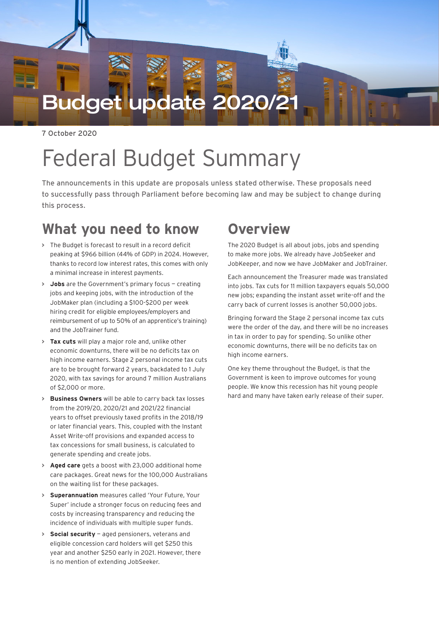# Budget update 2020/2

7 October 2020

# Federal Budget Summary

The announcements in this update are proposals unless stated otherwise. These proposals need to successfully pass through Parliament before becoming law and may be subject to change during this process.

### **What you need to know**

- **>** The Budget is forecast to result in a record deficit peaking at \$966 billion (44% of GDP) in 2024. However, thanks to record low interest rates, this comes with only a minimal increase in interest payments.
- **> Jobs** are the Government's primary focus creating jobs and keeping jobs, with the introduction of the JobMaker plan (including a \$100-\$200 per week hiring credit for eligible employees/employers and reimbursement of up to 50% of an apprentice's training) and the JobTrainer fund.
- **> Tax cuts** will play a major role and, unlike other economic downturns, there will be no deficits tax on high income earners. Stage 2 personal income tax cuts are to be brought forward 2 years, backdated to 1 July 2020, with tax savings for around 7 million Australians of \$2,000 or more.
- **> Business Owners** will be able to carry back tax losses from the 2019/20, 2020/21 and 2021/22 financial years to offset previously taxed profits in the 2018/19 or later financial years. This, coupled with the Instant Asset Write-off provisions and expanded access to tax concessions for small business, is calculated to generate spending and create jobs.
- **> Aged care** gets a boost with 23,000 additional home care packages. Great news for the 100,000 Australians on the waiting list for these packages.
- **> Superannuation** measures called 'Your Future, Your Super' include a stronger focus on reducing fees and costs by increasing transparency and reducing the incidence of individuals with multiple super funds.
- **> Social security** aged pensioners, veterans and eligible concession card holders will get \$250 this year and another \$250 early in 2021. However, there is no mention of extending JobSeeker.

## **Overview**

The 2020 Budget is all about jobs, jobs and spending to make more jobs. We already have JobSeeker and JobKeeper, and now we have JobMaker and JobTrainer.

Each announcement the Treasurer made was translated into jobs. Tax cuts for 11 million taxpayers equals 50,000 new jobs; expanding the instant asset write-off and the carry back of current losses is another 50,000 jobs.

Bringing forward the Stage 2 personal income tax cuts were the order of the day, and there will be no increases in tax in order to pay for spending. So unlike other economic downturns, there will be no deficits tax on high income earners.

One key theme throughout the Budget, is that the Government is keen to improve outcomes for young people. We know this recession has hit young people hard and many have taken early release of their super.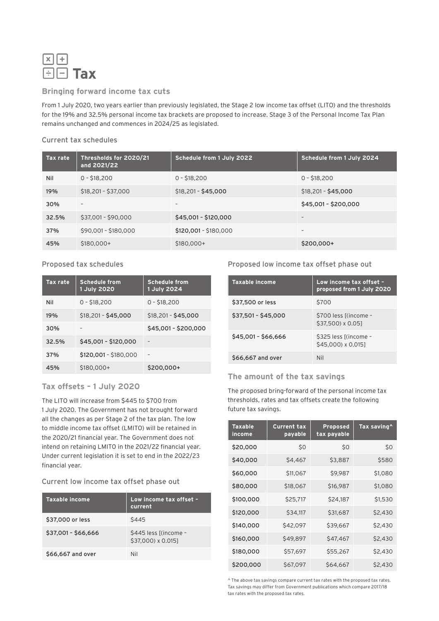

#### **Bringing forward income tax cuts**

From 1 July 2020, two years earlier than previously legislated, the Stage 2 low income tax offset (LITO) and the thresholds for the 19% and 32.5% personal income tax brackets are proposed to increase. Stage 3 of the Personal Income Tax Plan remains unchanged and commences in 2024/25 as legislated.

#### Current tax schedules

| <b>Tax rate</b> | Thresholds for 2020/21<br>and 2021/22 | Schedule from 1 July 2022 | Schedule from 1 July 2024 |
|-----------------|---------------------------------------|---------------------------|---------------------------|
| Nil             | $0 - $18,200$                         | $0 - $18,200$             | $0 - $18.200$             |
| 19%             | $$18,201 - $37,000$                   | $$18,201 - $45,000$       | $$18,201 - $45,000$       |
| 30%             | $\overline{\phantom{a}}$              | $\overline{\phantom{a}}$  | \$45,001 - \$200,000      |
| 32.5%           | \$37,001 - \$90,000                   | \$45,001 - \$120,000      | $\overline{\phantom{0}}$  |
| 37%             | \$90,001 - \$180,000                  | \$120,001 - \$180,000     | $\overline{\phantom{a}}$  |
| 45%             | $$180,000+$                           | $$180,000+$               | \$200,000+                |

#### Proposed tax schedules

| <b>Tax rate</b> | <b>Schedule from</b><br>1 July 2020 | <b>Schedule from</b><br>1 July 2024 |
|-----------------|-------------------------------------|-------------------------------------|
| Nil             | $0 - $18,200$                       | $0 - $18,200$                       |
| 19%             | $$18,201 - $45,000$                 | \$18,201 - \$45,000                 |
| 30%             |                                     | \$45,001 - \$200,000                |
| 32.5%           | \$45,001 - \$120,000                |                                     |
| 37%             | $$120,001 - $180,000$               |                                     |
| 45%             | $$180.000+$                         | \$200,000+                          |

#### **Tax offsets – 1 July 2020**

The LITO will increase from \$445 to \$700 from 1 July 2020. The Government has not brought forward all the changes as per Stage 2 of the tax plan. The low to middle income tax offset (LMITO) will be retained in the 2020/21 financial year. The Government does not intend on retaining LMITO in the 2021/22 financial year. Under current legislation it is set to end in the 2022/23 financial year.

#### Current low income tax offset phase out

| Taxable income      | Low income tax offset -<br>current          |
|---------------------|---------------------------------------------|
| \$37,000 or less    | \$445                                       |
| \$37.001 - \$66.666 | \$445 less [(income -<br>\$37,000) x 0.015] |
| \$66,667 and over   | Nil                                         |

#### Proposed low income tax offset phase out

| <b>Taxable income</b> | Low income tax offset -<br>proposed from 1 July 2020 |
|-----------------------|------------------------------------------------------|
| \$37,500 or less      | \$700                                                |
| $$37,501 - $45,000$   | \$700 less [(income -<br>\$37,500) x 0.051           |
| $$45,001 - $66,666$   | \$325 less [(income -<br>\$45,000) x 0.0151          |
| \$66,667 and over     | Nil                                                  |

#### **The amount of the tax savings**

The proposed bring-forward of the personal income tax thresholds, rates and tax offsets create the following future tax savings.

| <b>Taxable</b><br>income | <b>Current tax</b><br>payable | <b>Proposed</b><br>tax payable | Tax saving^ |
|--------------------------|-------------------------------|--------------------------------|-------------|
| \$20,000                 | \$0                           | \$0                            | \$0         |
| \$40,000                 | \$4,467                       | \$3,887                        | \$580       |
| \$60,000                 | \$11,067                      | \$9,987                        | \$1,080     |
| \$80,000                 | \$18,067                      | \$16,987                       | \$1,080     |
| \$100,000                | \$25,717                      | \$24,187                       | \$1,530     |
| \$120,000                | \$34,117                      | \$31,687                       | \$2,430     |
| \$140,000                | \$42,097                      | \$39,667                       | \$2,430     |
| \$160,000                | \$49,897                      | \$47,467                       | \$2,430     |
| \$180,000                | \$57,697                      | \$55,267                       | \$2,430     |
| \$200,000                | \$67,097                      | \$64,667                       | \$2,430     |

^ The above tax savings compare current tax rates with the proposed tax rates. Tax savings may differ from Government publications which compare 2017/18 tax rates with the proposed tax rates.